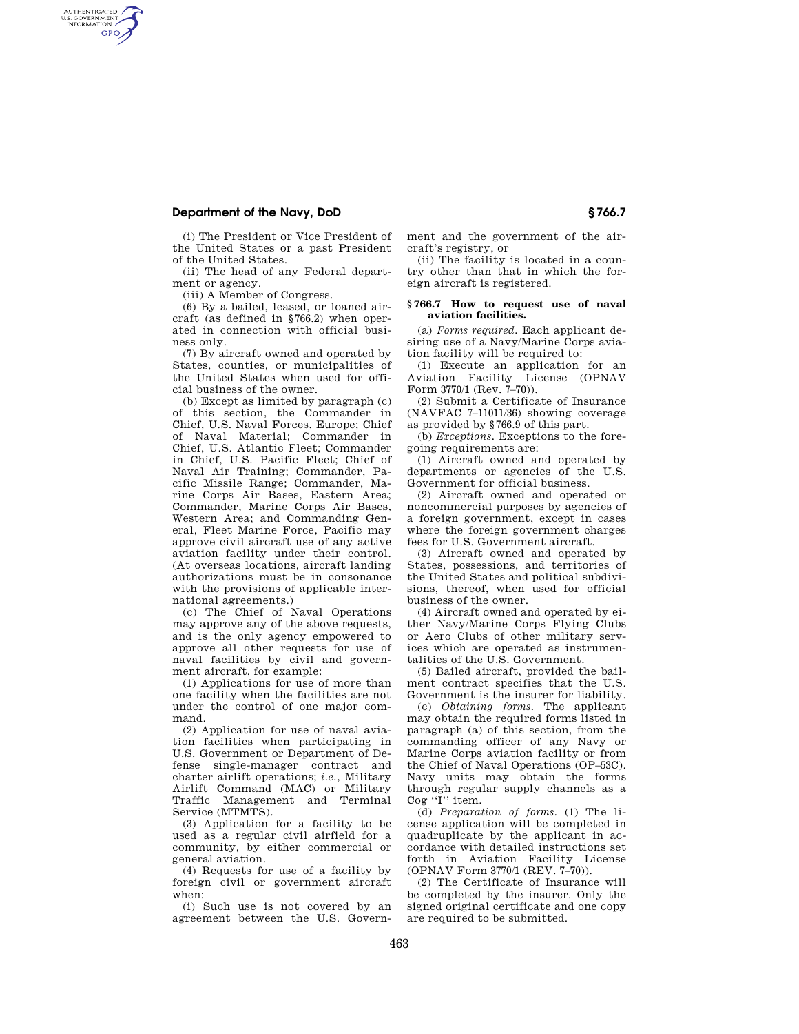## **Department of the Navy, DoD § 766.7**

AUTHENTICATED<br>U.S. GOVERNMENT<br>INFORMATION **GPO** 

> (i) The President or Vice President of the United States or a past President of the United States.

> (ii) The head of any Federal department or agency.

(iii) A Member of Congress.

(6) By a bailed, leased, or loaned aircraft (as defined in §766.2) when operated in connection with official business only.

(7) By aircraft owned and operated by States, counties, or municipalities of the United States when used for official business of the owner.

(b) Except as limited by paragraph (c) of this section, the Commander in Chief, U.S. Naval Forces, Europe; Chief of Naval Material; Commander in Chief, U.S. Atlantic Fleet; Commander in Chief, U.S. Pacific Fleet; Chief of Naval Air Training; Commander, Pacific Missile Range; Commander, Marine Corps Air Bases, Eastern Area; Commander, Marine Corps Air Bases, Western Area; and Commanding General, Fleet Marine Force, Pacific may approve civil aircraft use of any active aviation facility under their control. (At overseas locations, aircraft landing authorizations must be in consonance with the provisions of applicable international agreements.)

(c) The Chief of Naval Operations may approve any of the above requests, and is the only agency empowered to approve all other requests for use of naval facilities by civil and government aircraft, for example:

(1) Applications for use of more than one facility when the facilities are not under the control of one major command.

(2) Application for use of naval aviation facilities when participating in U.S. Government or Department of Defense single-manager contract and charter airlift operations; *i.e.*, Military Airlift Command (MAC) or Military Traffic Management and Terminal Service (MTMTS).

(3) Application for a facility to be used as a regular civil airfield for a community, by either commercial or general aviation.

(4) Requests for use of a facility by foreign civil or government aircraft when:

(i) Such use is not covered by an agreement between the U.S. Government and the government of the aircraft's registry, or

(ii) The facility is located in a country other than that in which the foreign aircraft is registered.

## **§ 766.7 How to request use of naval aviation facilities.**

(a) *Forms required.* Each applicant desiring use of a Navy/Marine Corps aviation facility will be required to:

(1) Execute an application for an Aviation Facility License (OPNAV Form 3770/1 (Rev. 7-70)).

(2) Submit a Certificate of Insurance (NAVFAC 7–11011/36) showing coverage as provided by §766.9 of this part.

(b) *Exceptions.* Exceptions to the foregoing requirements are:

(1) Aircraft owned and operated by departments or agencies of the U.S. Government for official business.

(2) Aircraft owned and operated or noncommercial purposes by agencies of a foreign government, except in cases where the foreign government charges fees for U.S. Government aircraft.

(3) Aircraft owned and operated by States, possessions, and territories of the United States and political subdivisions, thereof, when used for official business of the owner.

(4) Aircraft owned and operated by either Navy/Marine Corps Flying Clubs or Aero Clubs of other military services which are operated as instrumentalities of the U.S. Government.

(5) Bailed aircraft, provided the bailment contract specifies that the U.S. Government is the insurer for liability.

(c) *Obtaining forms.* The applicant may obtain the required forms listed in paragraph (a) of this section, from the commanding officer of any Navy or Marine Corps aviation facility or from the Chief of Naval Operations (OP–53C). Navy units may obtain the forms through regular supply channels as a Cog ''I'' item.

(d) *Preparation of forms.* (1) The license application will be completed in quadruplicate by the applicant in accordance with detailed instructions set forth in Aviation Facility License (OPNAV Form 3770/1 (REV. 7–70)).

(2) The Certificate of Insurance will be completed by the insurer. Only the signed original certificate and one copy are required to be submitted.